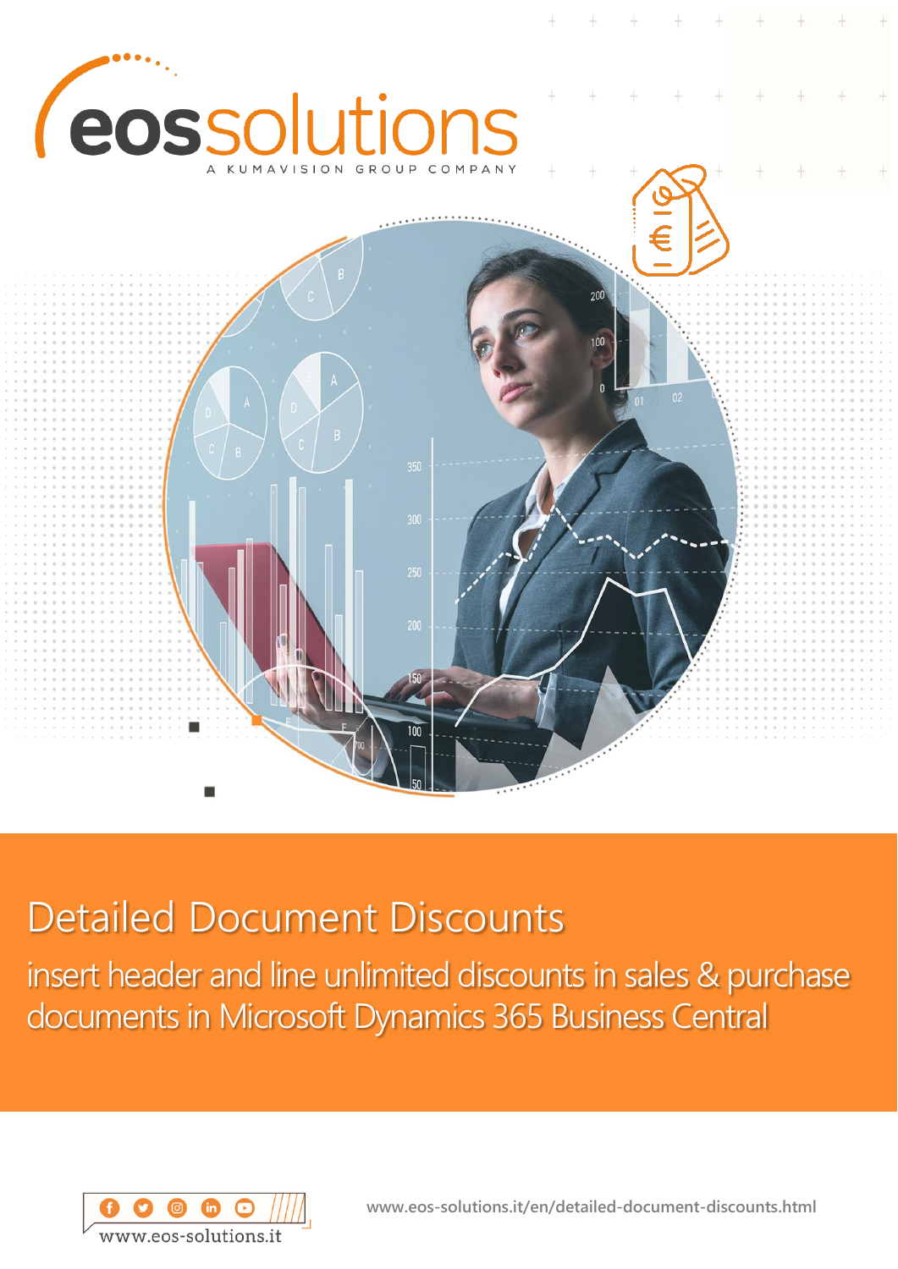

# Detailed Document Discounts

insert header and line unlimited discounts in sales & purchase documents in Microsoft Dynamics 365 Business Central



**www.eos-solutions.it/en/detailed-document-discounts.html**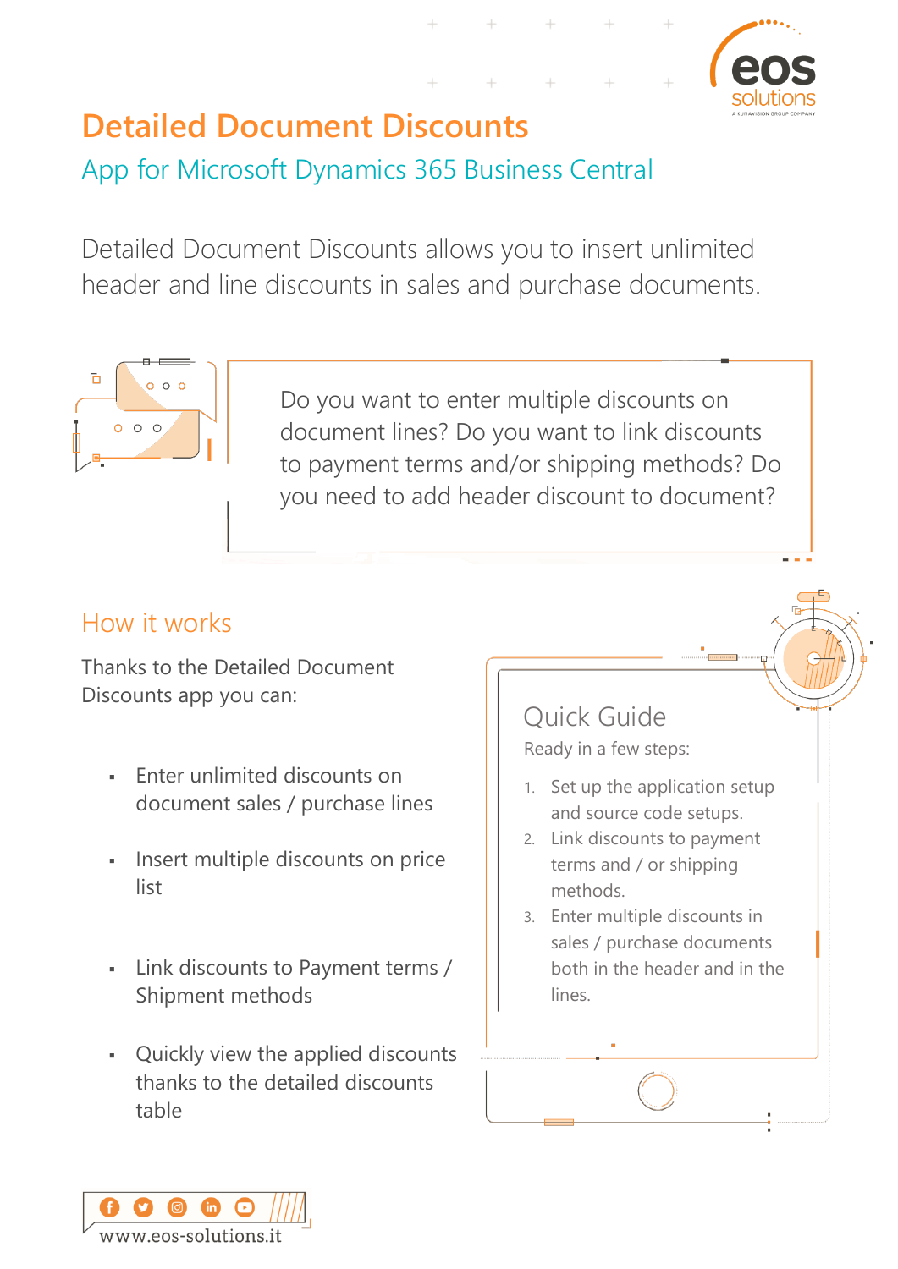

# **Detailed Document Discounts**

App for Microsoft Dynamics 365 Business Central

Detailed Document Discounts allows you to insert unlimited header and line discounts in sales and purchase documents.



Do you want to enter multiple discounts on document lines? Do you want to link discounts to payment terms and/or shipping methods? Do you need to add header discount to document?

### How it works

Thanks to the Detailed Document Discounts app you can:

- **Enter unlimited discounts on** document sales / purchase lines
- Insert multiple discounts on price list
- Link discounts to Payment terms / Shipment methods
- Quickly view the applied discounts thanks to the detailed discounts table

Quick Guide Ready in a few steps:

- 1. Set up the application setup and source code setups.
- 2. Link discounts to payment terms and / or shipping methods.
- 3. Enter multiple discounts in sales / purchase documents both in the header and in the lines.

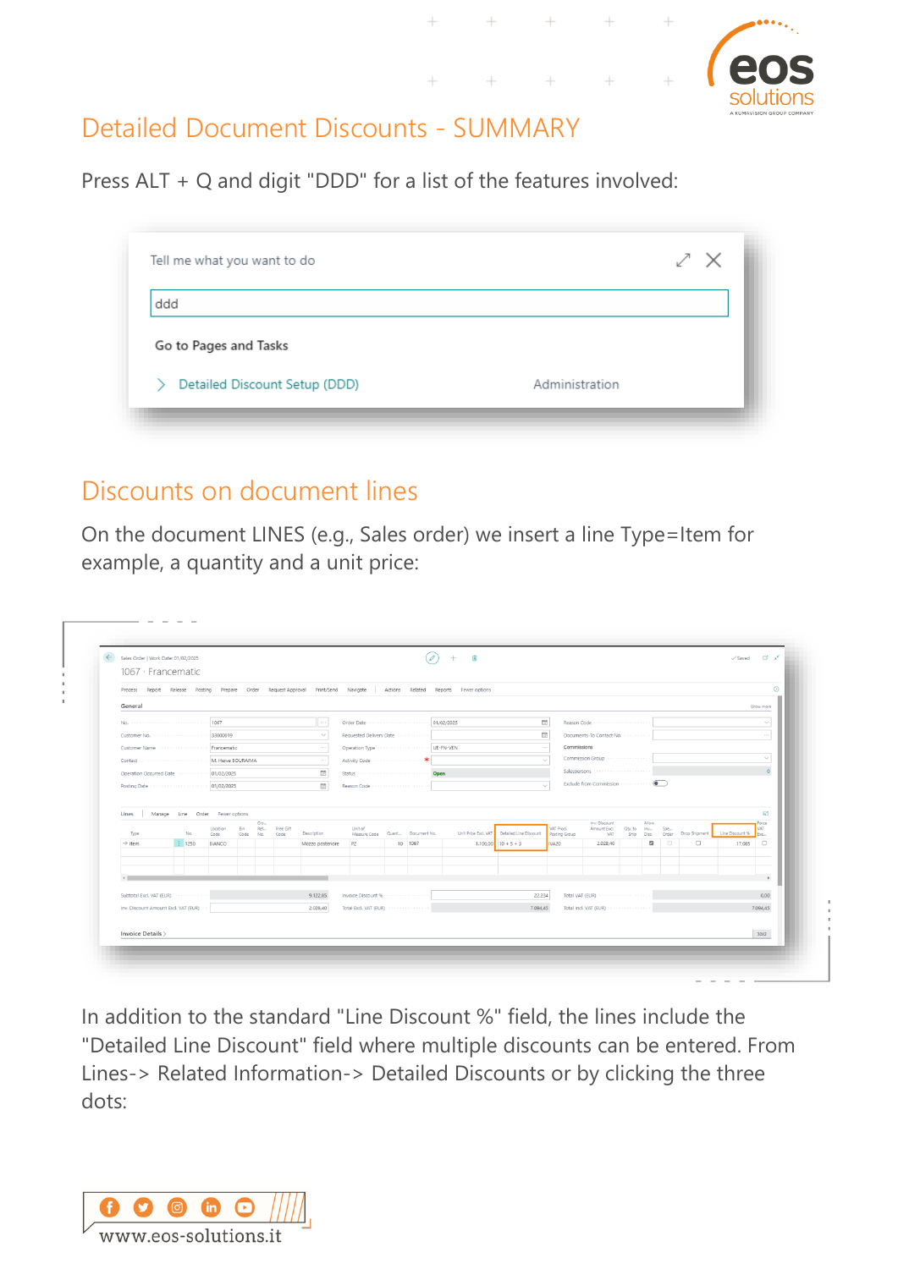

### Detailed Document Discounts - SUMMARY

Press ALT + Q and digit "DDD" for a list of the features involved:

| ddd                   |  |
|-----------------------|--|
| Go to Pages and Tasks |  |
|                       |  |

#### Discounts on document lines

On the document LINES (e.g., Sales order) we insert a line Type=Item for example, a quantity and a unit price:

|                                            |                                 |                |      |            |           |                                 |                                       |         | Process Report Release Posting Prepare Order Request-Approval Print/Send Navigate   Actions Related Reports Fewer-options |                                                                        |                               |                                               |                         |        |                                                   |                           |                      |
|--------------------------------------------|---------------------------------|----------------|------|------------|-----------|---------------------------------|---------------------------------------|---------|---------------------------------------------------------------------------------------------------------------------------|------------------------------------------------------------------------|-------------------------------|-----------------------------------------------|-------------------------|--------|---------------------------------------------------|---------------------------|----------------------|
| General                                    |                                 |                |      |            |           |                                 |                                       |         |                                                                                                                           |                                                                        |                               |                                               |                         |        |                                                   |                           | Show more            |
|                                            |                                 |                |      |            |           | $\cdots$                        |                                       |         |                                                                                                                           | $\Box$                                                                 |                               | Reason Code                                   |                         |        |                                                   |                           | $\checkmark$         |
|                                            |                                 |                |      |            |           | $\checkmark$                    | Requested Delivery Date               |         |                                                                                                                           | CO.                                                                    |                               | Documents-To Contact No.                      |                         |        |                                                   |                           | $\sim$ $\sim$ $\sim$ |
| Customer Name www.www.www.www. Francematic |                                 |                |      |            |           | $\cdots$                        |                                       |         |                                                                                                                           |                                                                        | Commissions                   |                                               |                         |        |                                                   |                           |                      |
|                                            |                                 |                |      |            |           | $\sim$ $\sim$ $\sim$            |                                       |         |                                                                                                                           | $\checkmark$                                                           |                               | Commission Group                              |                         |        |                                                   |                           | $\checkmark$         |
|                                            |                                 |                |      |            |           | m                               |                                       |         |                                                                                                                           |                                                                        |                               | Salespersons                                  |                         |        |                                                   |                           |                      |
|                                            |                                 |                |      |            |           | CO                              | Reason Code                           |         |                                                                                                                           | $\checkmark$                                                           |                               |                                               |                         |        |                                                   |                           |                      |
|                                            |                                 |                |      |            |           |                                 |                                       |         |                                                                                                                           |                                                                        |                               |                                               |                         |        |                                                   |                           |                      |
| Lines                                      | Manage Line Order Fewer options |                |      |            |           |                                 |                                       |         |                                                                                                                           |                                                                        |                               |                                               |                         |        |                                                   |                           | 53                   |
|                                            |                                 | Location       | Bin  | Cro<br>Ref | Free Gift |                                 | Unit of                               |         |                                                                                                                           |                                                                        | VAT Prod.                     | Inv. Discount<br>Amount Excl. Qty. to Inv Spe | Allow                   |        |                                                   |                           | Force<br><b>VAT</b>  |
| Type<br>$\rightarrow$ Item                 | No.<br>$\frac{1}{2}$ 1250       | Code<br>BIANCO | Code | No.        | Code      | Description<br>Mozzo posteriore | Measure Code Quant Document No.<br>PZ | 10 1067 |                                                                                                                           | Unit Price Excl. VAT Detailed Line Discount<br>$1.100.00$ $10 + 5 + 3$ | Posting Group<br><b>IVA20</b> | VAT<br>2.028.40                               | $\overline{\mathbf{z}}$ | $\Box$ | Ship Disc. Order Drop Shipment<br>$\hfill\square$ | Line Discount %<br>17,065 | Exe<br>$\Box$        |
|                                            |                                 |                |      |            |           |                                 |                                       |         |                                                                                                                           |                                                                        |                               |                                               |                         |        |                                                   |                           |                      |
|                                            |                                 |                |      |            |           |                                 |                                       |         |                                                                                                                           |                                                                        |                               |                                               |                         |        |                                                   |                           |                      |
|                                            |                                 |                |      |            |           |                                 |                                       |         |                                                                                                                           |                                                                        |                               |                                               |                         |        |                                                   |                           | $\overline{a}$       |
|                                            |                                 |                |      |            |           | 9.122,85                        | Invoice Discount %                    |         |                                                                                                                           | 22,234                                                                 |                               | Total VAT (EUR) ···················           |                         |        |                                                   |                           | 0,00                 |
|                                            |                                 |                |      |            |           |                                 |                                       |         |                                                                                                                           |                                                                        |                               |                                               |                         |        |                                                   |                           |                      |
| Subtotal Excl. VAT (EUR)                   |                                 |                |      |            |           |                                 |                                       |         |                                                                                                                           |                                                                        |                               |                                               |                         |        |                                                   |                           |                      |
| Inv. Discount Amount Excl. VAT (EUR)       |                                 |                |      |            |           | 2.028,40                        | Total Excl. VAT (EUR)                 |         |                                                                                                                           | 7.094.45                                                               |                               | Total Incl. VAT (EUR)                         |                         |        |                                                   |                           | 7.094.45             |

In addition to the standard "Line Discount %" field, the lines include the "Detailed Line Discount" field where multiple discounts can be entered. From Lines-> Related Information-> Detailed Discounts or by clicking the three dots:

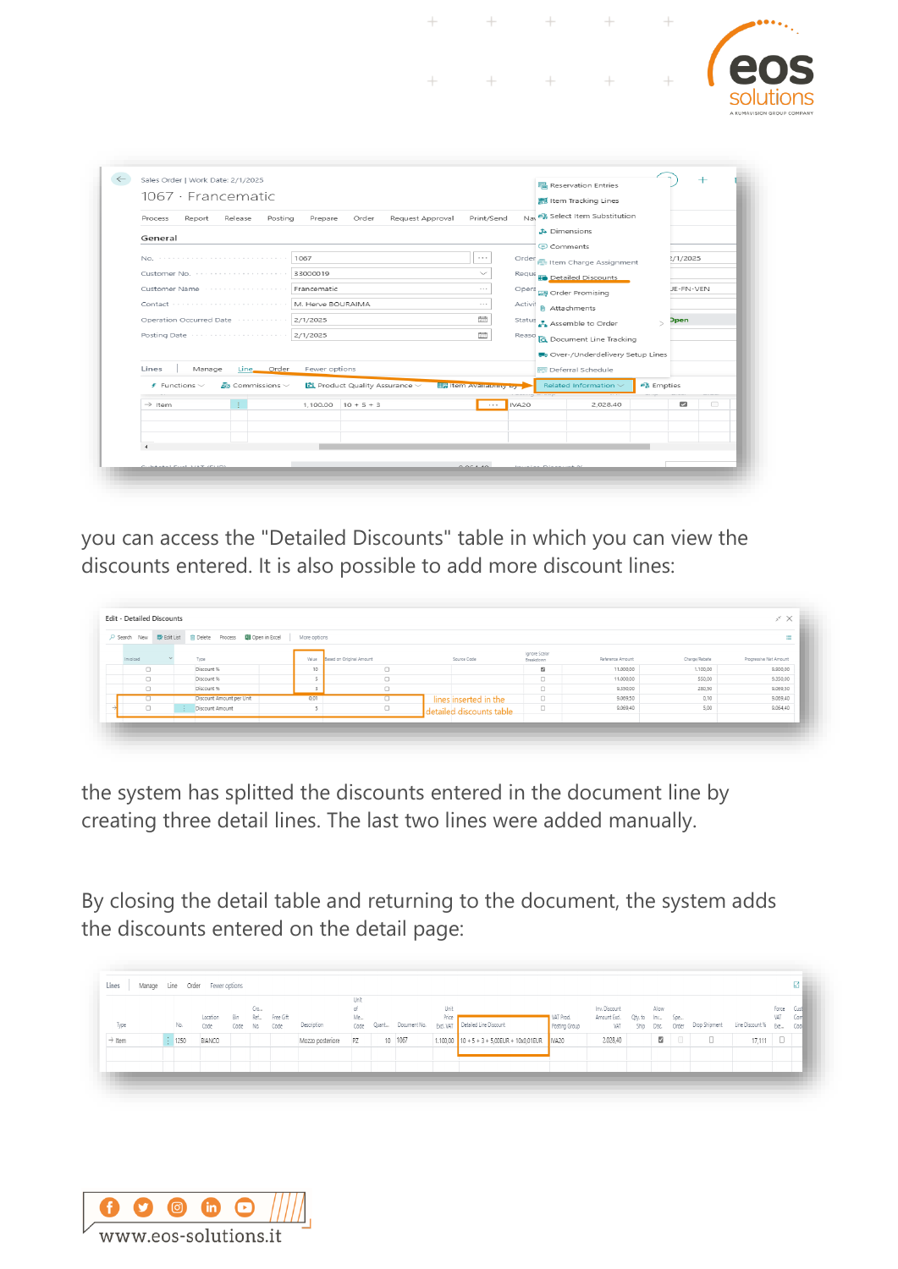

you can access the "Detailed Discounts" table in which you can view the discounts entered. It is also possible to add more discount lines:

| O Search New | Process <b>D</b> Open in Excel<br><b>腰</b> Edit List 宜 Delete | More options |                          |                          |                            |                  |               | $\equiv$               |
|--------------|---------------------------------------------------------------|--------------|--------------------------|--------------------------|----------------------------|------------------|---------------|------------------------|
| Invoiced     | Type                                                          | Value        | Based on Original Amount | Source Code              | Ignore Scalar<br>Breakdown | Reference Amount | Charge/Rebate | Progressive Net Amount |
| $\Box$       | Discount %                                                    | 10           | $\Box$                   |                          | s                          | 11.000,00        | 1.100,00      | 9.900,00               |
| $\Box$       | Discount %                                                    |              | $\Box$                   |                          | $\Box$                     | 11.000,00        | 550,00        | 9.350,00               |
| $\Box$       | Discount %                                                    |              | $\Box$                   |                          | $\Box$                     | 9.350,00         | 280,50        | 9.069,50               |
| $\Box$       | Discount Amount per Unit                                      | 0,01         | $\Box$                   | lines inserted in the    | $\Box$                     | 9.069,50         | 0,10          | 9.069,40               |
| $\Box$       | - E -<br>Discount Amount                                      |              | $\Box$                   | detailed discounts table | $\Box$                     | 9.069,40         | 5,00          | 9.064,40               |

the system has splitted the discounts entered in the document line by creating three detail lines. The last two lines were added manually.

By closing the detail table and returning to the document, the system adds the discounts entered on the detail page:

|                    |                    |          |          |     |           |                     | Unit |                    |       |                                              |                   |                              |            |                     |        |   |                                        |            |     |
|--------------------|--------------------|----------|----------|-----|-----------|---------------------|------|--------------------|-------|----------------------------------------------|-------------------|------------------------------|------------|---------------------|--------|---|----------------------------------------|------------|-----|
|                    |                    |          |          | Cro |           |                     | of.  |                    | Unit  |                                              |                   | Inv. Discount                |            | Allow               |        |   |                                        | Force Cust |     |
|                    |                    | Location | Bin      | Ref | Free Gift |                     | Me   |                    | Price |                                              | VAT Prod.         | Amount Excl. Qty. to Inv Spe |            |                     |        |   |                                        | VAT        | Com |
| Type               | No.                | Code     | Code No. |     | Code      | Description         | Code | Quant Document No. |       | Excl. VAT   Detailed Line Discount           | Posting Group     | VAT                          | Ship Disc. |                     | Order  |   | Drop Shipment Line Discount % Exe Code |            |     |
| $\rightarrow$ Item | $\frac{1}{2}$ 1250 | BIANCO   |          |     |           | Mozzo posteriore PZ |      | 10 1067            |       | $1.100,00$ 10 + 5 + 3 + 5,00EUR + 10x0,01EUR | IVA <sub>20</sub> | 2.028,40                     |            | $\overline{\omega}$ | $\Box$ | 0 | $17,111$ $\Box$                        |            |     |
|                    |                    |          |          |     |           |                     |      |                    |       |                                              |                   |                              |            |                     |        |   |                                        |            |     |
|                    |                    |          |          |     |           |                     |      |                    |       |                                              |                   |                              |            |                     |        |   |                                        |            |     |

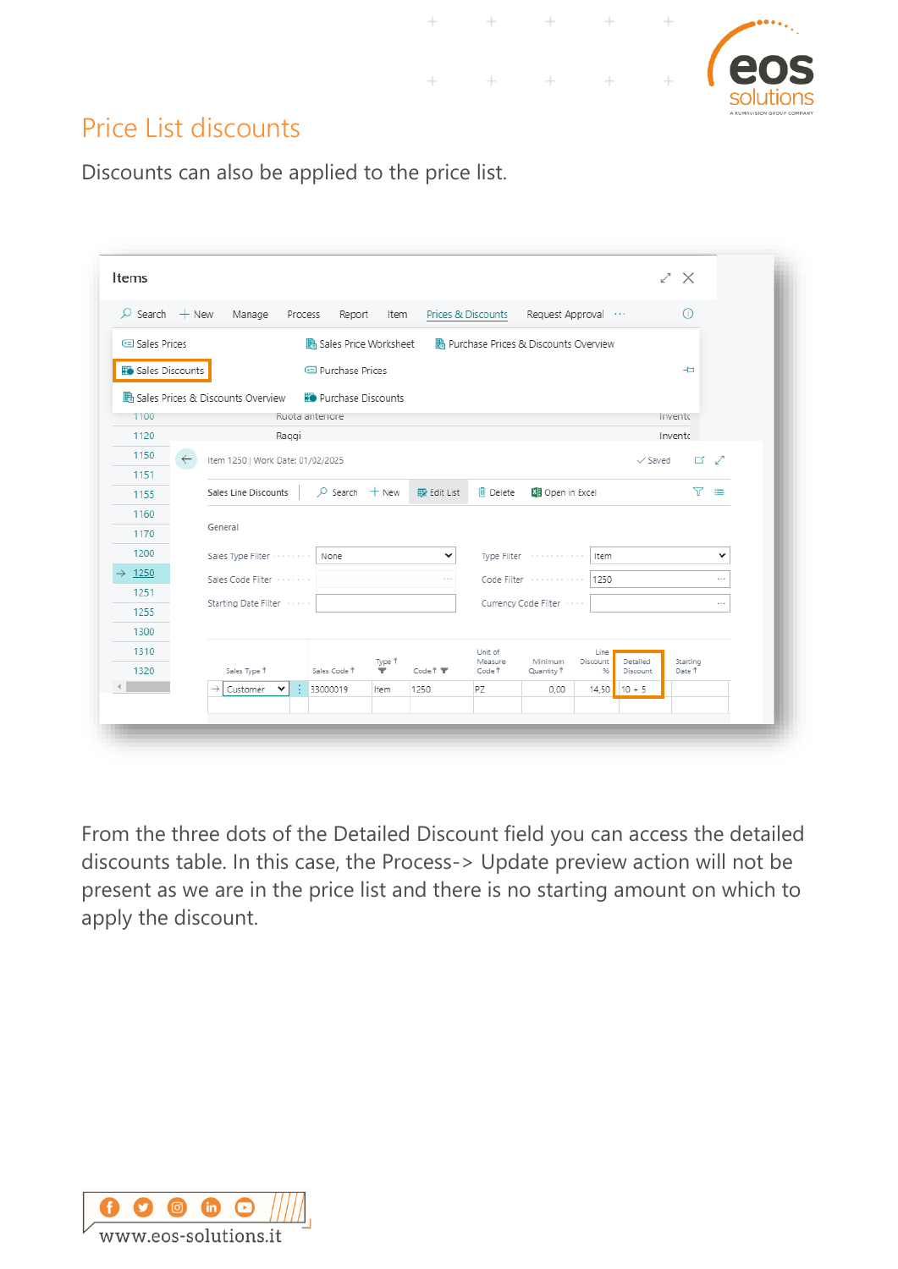

#### Price List discounts

Discounts can also be applied to the price list.

| Sales Prices       |                 | $\varphi$ Search $+$ New Manage   | Process                      | Report Item | Prices & Discounts          |                   | Request Approval                       |                |                    | O)       |               |
|--------------------|-----------------|-----------------------------------|------------------------------|-------------|-----------------------------|-------------------|----------------------------------------|----------------|--------------------|----------|---------------|
|                    |                 |                                   | Sales Price Worksheet        |             |                             |                   | A Purchase Prices & Discounts Overview |                |                    |          |               |
|                    | Sales Discounts |                                   | <b>E</b> Purchase Prices     |             |                             |                   |                                        |                |                    | ᆉ        |               |
|                    |                 | Sales Prices & Discounts Overview | <b>Fo</b> Purchase Discounts |             |                             |                   |                                        |                |                    |          |               |
| 1100               |                 |                                   | Ruota anteriore              |             |                             |                   |                                        |                |                    | Invento  |               |
| 1120               |                 | Raggi                             |                              |             |                             |                   |                                        |                |                    | Invento  |               |
| 1150               | $\leftarrow$    | Item 1250   Work Date: 01/02/2025 |                              |             |                             |                   |                                        |                | $\checkmark$ Saved | ロブ       |               |
| 1151               |                 |                                   |                              |             |                             |                   |                                        |                |                    |          |               |
| 1155               |                 | Sales Line Discounts              | $\Omega$ Search $+$ New      |             | <b>B</b> Edit List          | lii Delete        | <b>XII</b> Open in Excel               |                |                    | 77.      | ≡             |
| 1160               |                 |                                   |                              |             |                             |                   |                                        |                |                    |          |               |
| 1170               |                 | General                           |                              |             |                             |                   |                                        |                |                    |          |               |
| 1200               |                 | Sales Type Filter                 | None                         |             | $\checkmark$                |                   | Type Filter                            | Item           |                    |          | v             |
| $\rightarrow$ 1250 |                 | Sales Code Filter                 |                              |             | $\alpha \rightarrow \alpha$ |                   |                                        | 1250           |                    |          | $\cdots$      |
|                    |                 |                                   |                              |             |                             |                   |                                        |                |                    |          |               |
| 1251               |                 | Starting Date Filter Former       |                              |             |                             |                   | Currency Code Filter [1999]            |                |                    |          | $\sim$ $\sim$ |
| 1255               |                 |                                   |                              |             |                             |                   |                                        |                |                    |          |               |
| 1300               |                 |                                   |                              |             |                             | Unit of           |                                        | Line           |                    |          |               |
| 1310               |                 |                                   |                              |             |                             |                   |                                        |                | Detailed           | Starting |               |
| 1320               |                 | Sales Type 1                      | Sales Code 1                 | Type 1<br>▼ | Code 1                      | Measure<br>Code Ť | Minimum<br>Quantity <sup>1</sup>       | Discount<br>96 | Discount           | Date 1   |               |

 $\ddot{}$ 

 $^{+}$ 

 $\!+\!$ 

From the three dots of the Detailed Discount field you can access the detailed discounts table. In this case, the Process-> Update preview action will not be present as we are in the price list and there is no starting amount on which to apply the discount.

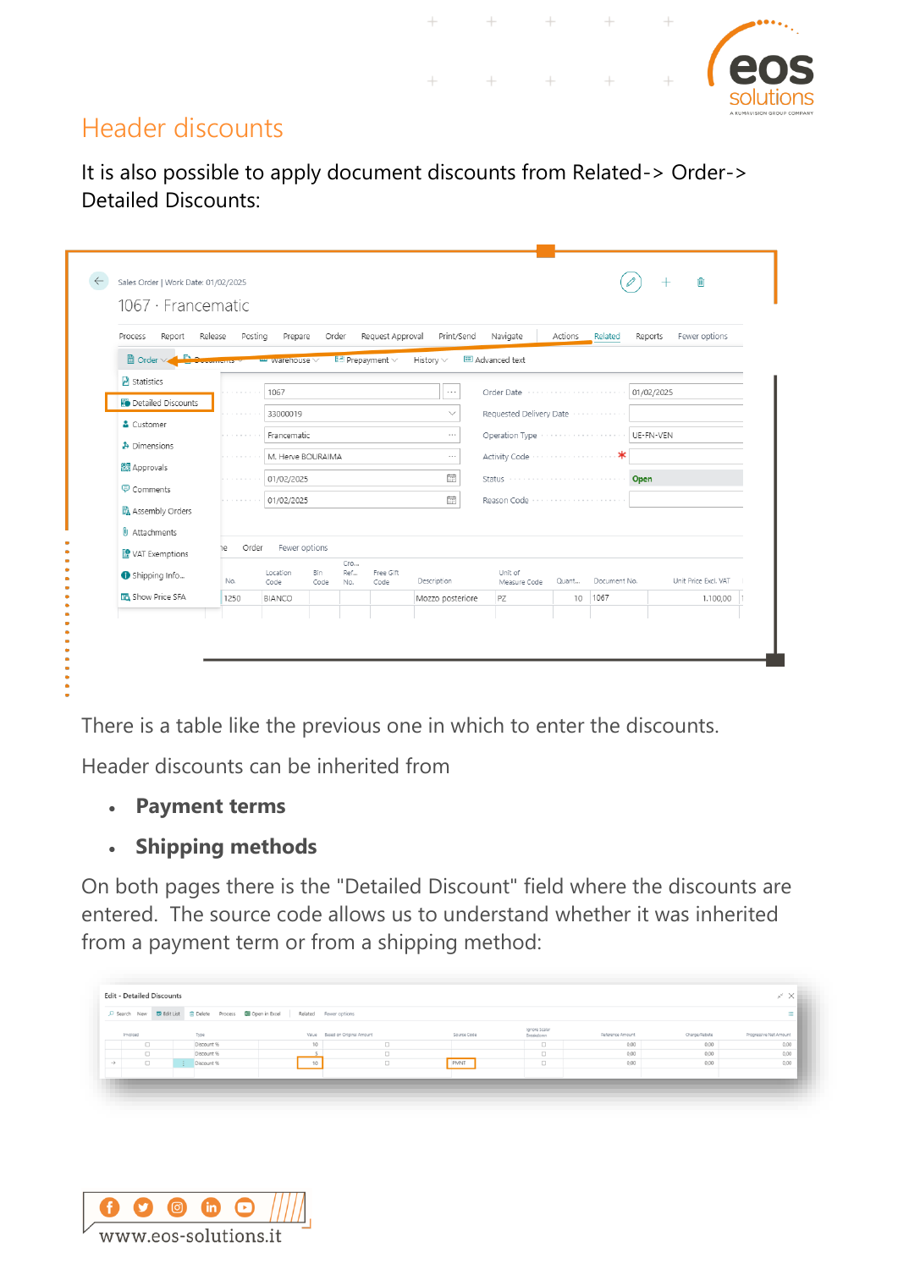

#### Header discounts

It is also possible to apply document discounts from Related-> Order-> Detailed Discounts:

 $\ddot{}$ 

| Report<br>Process         | Release<br>Posting                 | Prepare           |               | Order             | Request Approval             | Print/Send       | Navigate                | Actions | Related      | Fewer options<br>Reports |
|---------------------------|------------------------------------|-------------------|---------------|-------------------|------------------------------|------------------|-------------------------|---------|--------------|--------------------------|
| مذال<br><b>li</b> Order ∨ | $\sim$ $\sim$ $\sim$ $\sim$ $\sim$ | warehouse V       |               |                   | $E \equiv$ Prepayment $\vee$ | History $\vee$   | <b>E</b> Advanced text  |         |              |                          |
| Statistics                |                                    | 1067              |               |                   |                              | $\cdots$         | Order Date              |         | .            | 01/02/2025               |
| Detailed Discounts        |                                    | 33000019          |               |                   |                              | $\checkmark$     | Requested Delivery Date |         |              |                          |
| & Customer                |                                    | Francematic       |               |                   |                              | $\cdots$         | Operation Type          |         |              | UE-FN-VEN                |
| Dimensions                |                                    | M. Herve BOURAIMA |               |                   |                              | $\cdots$         |                         |         |              |                          |
| Approvals                 |                                    |                   |               |                   |                              |                  |                         |         |              |                          |
| <b>D</b> Comments         |                                    | 01/02/2025        |               |                   |                              | 霝                | Status                  | .       |              | Open                     |
| Assembly Orders           |                                    | 01/02/2025        |               |                   |                              | <b>Fill</b>      | Reason Code             |         |              |                          |
| <b>U</b> Attachments      |                                    |                   |               |                   |                              |                  |                         |         |              |                          |
| VAT Exemptions            | Order<br>٦e                        |                   | Fewer options |                   |                              |                  |                         |         |              |                          |
| Shipping Info             | No.                                | Location<br>Code  | Bin<br>Code   | Cro<br>Ref<br>No. | Free Gift<br>Code            | Description      | Unit of<br>Measure Code | Quant   | Document No. | Unit Price Excl. VAT     |
| <b>To</b> Show Price SFA  | 1250                               | BIANCO            |               |                   |                              | Mozzo posteriore | PZ                      | 10      | 1067         | 1.100,00 1               |

There is a table like the previous one in which to enter the discounts.

Header discounts can be inherited from

- **Payment terms**
- **Shipping methods**

On both pages there is the "Detailed Discount" field where the discounts are entered. The source code allows us to understand whether it was inherited from a payment term or from a shipping method:

|               |        |            | O Search New <b>ID</b> Edit List <b>i</b> Delete Process <b>III</b> Open in Excel Related Fewer options |        |             |                            |                  |               | ٠                      |
|---------------|--------|------------|---------------------------------------------------------------------------------------------------------|--------|-------------|----------------------------|------------------|---------------|------------------------|
| Invoiced      |        | Type       | Value Based on Original Amount                                                                          |        | Source Code | Ignore Scalar<br>Breakdown | Reference Amount | Charge/Rebate | Progressive Net Amount |
|               | $\Box$ | Discount % | 10                                                                                                      | $\Box$ |             | $\Box$                     | 0,00             | 0,00          | 0,00                   |
| $\Box$        |        | Discount % |                                                                                                         | n      |             | $\Box$                     | 0,00             | 0,00          | 0,00                   |
| $\rightarrow$ | $\Box$ | Discount % | 10                                                                                                      | $\Box$ | PMNT        | $\Box$                     | 0,00             | 0,00          | 0,00                   |